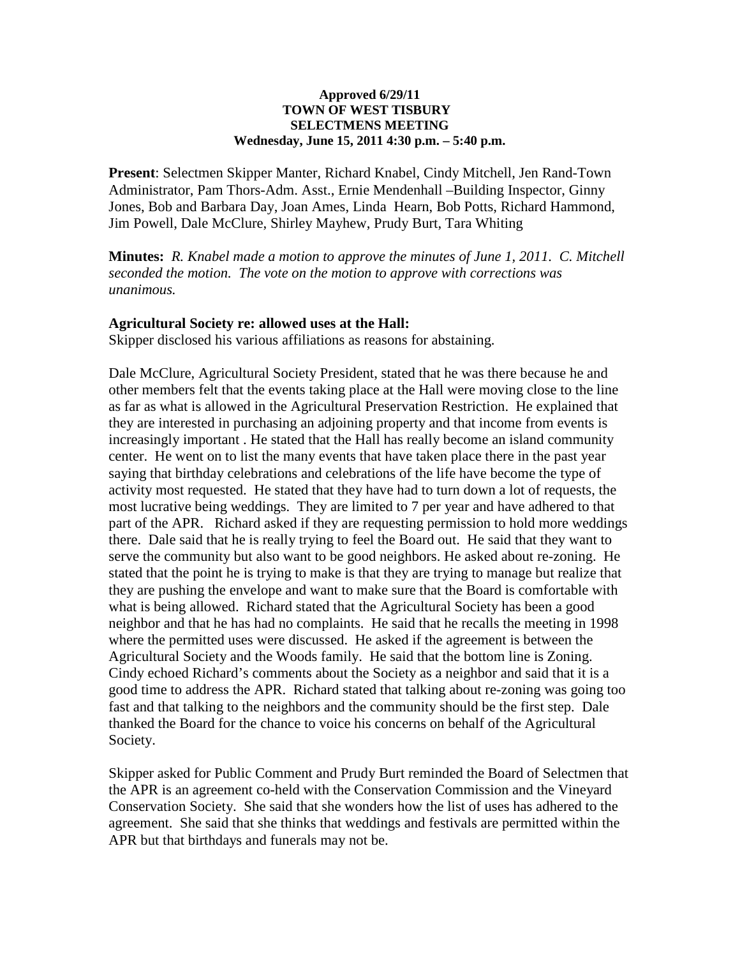#### **Approved 6/29/11 TOWN OF WEST TISBURY SELECTMENS MEETING Wednesday, June 15, 2011 4:30 p.m. – 5:40 p.m.**

**Present**: Selectmen Skipper Manter, Richard Knabel, Cindy Mitchell, Jen Rand-Town Administrator, Pam Thors-Adm. Asst., Ernie Mendenhall –Building Inspector, Ginny Jones, Bob and Barbara Day, Joan Ames, Linda Hearn, Bob Potts, Richard Hammond, Jim Powell, Dale McClure, Shirley Mayhew, Prudy Burt, Tara Whiting

**Minutes:** *R. Knabel made a motion to approve the minutes of June 1, 2011. C. Mitchell seconded the motion. The vote on the motion to approve with corrections was unanimous.* 

### **Agricultural Society re: allowed uses at the Hall:**

Skipper disclosed his various affiliations as reasons for abstaining.

Dale McClure, Agricultural Society President, stated that he was there because he and other members felt that the events taking place at the Hall were moving close to the line as far as what is allowed in the Agricultural Preservation Restriction. He explained that they are interested in purchasing an adjoining property and that income from events is increasingly important . He stated that the Hall has really become an island community center. He went on to list the many events that have taken place there in the past year saying that birthday celebrations and celebrations of the life have become the type of activity most requested. He stated that they have had to turn down a lot of requests, the most lucrative being weddings. They are limited to 7 per year and have adhered to that part of the APR. Richard asked if they are requesting permission to hold more weddings there. Dale said that he is really trying to feel the Board out. He said that they want to serve the community but also want to be good neighbors. He asked about re-zoning. He stated that the point he is trying to make is that they are trying to manage but realize that they are pushing the envelope and want to make sure that the Board is comfortable with what is being allowed. Richard stated that the Agricultural Society has been a good neighbor and that he has had no complaints. He said that he recalls the meeting in 1998 where the permitted uses were discussed. He asked if the agreement is between the Agricultural Society and the Woods family. He said that the bottom line is Zoning. Cindy echoed Richard's comments about the Society as a neighbor and said that it is a good time to address the APR. Richard stated that talking about re-zoning was going too fast and that talking to the neighbors and the community should be the first step. Dale thanked the Board for the chance to voice his concerns on behalf of the Agricultural Society.

Skipper asked for Public Comment and Prudy Burt reminded the Board of Selectmen that the APR is an agreement co-held with the Conservation Commission and the Vineyard Conservation Society. She said that she wonders how the list of uses has adhered to the agreement. She said that she thinks that weddings and festivals are permitted within the APR but that birthdays and funerals may not be.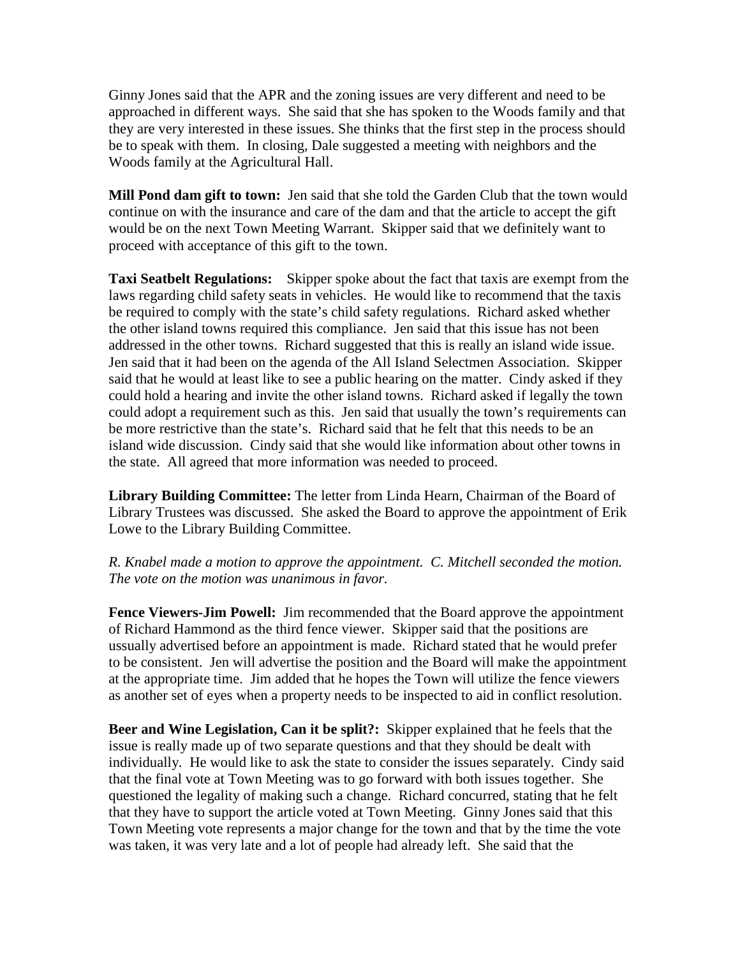Ginny Jones said that the APR and the zoning issues are very different and need to be approached in different ways. She said that she has spoken to the Woods family and that they are very interested in these issues. She thinks that the first step in the process should be to speak with them. In closing, Dale suggested a meeting with neighbors and the Woods family at the Agricultural Hall.

**Mill Pond dam gift to town:** Jen said that she told the Garden Club that the town would continue on with the insurance and care of the dam and that the article to accept the gift would be on the next Town Meeting Warrant. Skipper said that we definitely want to proceed with acceptance of this gift to the town.

**Taxi Seatbelt Regulations:** Skipper spoke about the fact that taxis are exempt from the laws regarding child safety seats in vehicles. He would like to recommend that the taxis be required to comply with the state's child safety regulations. Richard asked whether the other island towns required this compliance. Jen said that this issue has not been addressed in the other towns. Richard suggested that this is really an island wide issue. Jen said that it had been on the agenda of the All Island Selectmen Association. Skipper said that he would at least like to see a public hearing on the matter. Cindy asked if they could hold a hearing and invite the other island towns. Richard asked if legally the town could adopt a requirement such as this. Jen said that usually the town's requirements can be more restrictive than the state's. Richard said that he felt that this needs to be an island wide discussion. Cindy said that she would like information about other towns in the state. All agreed that more information was needed to proceed.

**Library Building Committee:** The letter from Linda Hearn, Chairman of the Board of Library Trustees was discussed. She asked the Board to approve the appointment of Erik Lowe to the Library Building Committee.

## *R. Knabel made a motion to approve the appointment. C. Mitchell seconded the motion. The vote on the motion was unanimous in favor.*

**Fence Viewers-Jim Powell:** Jim recommended that the Board approve the appointment of Richard Hammond as the third fence viewer. Skipper said that the positions are ussually advertised before an appointment is made. Richard stated that he would prefer to be consistent. Jen will advertise the position and the Board will make the appointment at the appropriate time. Jim added that he hopes the Town will utilize the fence viewers as another set of eyes when a property needs to be inspected to aid in conflict resolution.

**Beer and Wine Legislation, Can it be split?:** Skipper explained that he feels that the issue is really made up of two separate questions and that they should be dealt with individually. He would like to ask the state to consider the issues separately. Cindy said that the final vote at Town Meeting was to go forward with both issues together. She questioned the legality of making such a change. Richard concurred, stating that he felt that they have to support the article voted at Town Meeting. Ginny Jones said that this Town Meeting vote represents a major change for the town and that by the time the vote was taken, it was very late and a lot of people had already left. She said that the